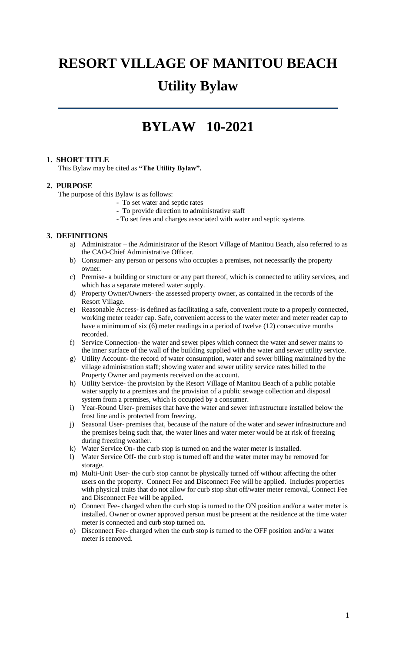# **RESORT VILLAGE OF MANITOU BEACH Utility Bylaw**

# **BYLAW 10-2021**

# **1. SHORT TITLE**

This Bylaw may be cited as **"The Utility Bylaw".**

# **2. PURPOSE**

The purpose of this Bylaw is as follows:

- To set water and septic rates
- To provide direction to administrative staff
- To set fees and charges associated with water and septic systems

# **3. DEFINITIONS**

- a) Administrator the Administrator of the Resort Village of Manitou Beach, also referred to as the CAO-Chief Administrative Officer.
- b) Consumer- any person or persons who occupies a premises, not necessarily the property owner.
- c) Premise- a building or structure or any part thereof, which is connected to utility services, and which has a separate metered water supply.
- d) Property Owner/Owners- the assessed property owner, as contained in the records of the Resort Village.
- e) Reasonable Access- is defined as facilitating a safe, convenient route to a properly connected, working meter reader cap. Safe, convenient access to the water meter and meter reader cap to have a minimum of six (6) meter readings in a period of twelve (12) consecutive months recorded.
- f) Service Connection- the water and sewer pipes which connect the water and sewer mains to the inner surface of the wall of the building supplied with the water and sewer utility service.
- g) Utility Account- the record of water consumption, water and sewer billing maintained by the village administration staff; showing water and sewer utility service rates billed to the Property Owner and payments received on the account.
- h) Utility Service- the provision by the Resort Village of Manitou Beach of a public potable water supply to a premises and the provision of a public sewage collection and disposal system from a premises, which is occupied by a consumer.
- i) Year-Round User- premises that have the water and sewer infrastructure installed below the frost line and is protected from freezing.
- j) Seasonal User- premises that, because of the nature of the water and sewer infrastructure and the premises being such that, the water lines and water meter would be at risk of freezing during freezing weather.
- k) Water Service On- the curb stop is turned on and the water meter is installed.
- l) Water Service Off- the curb stop is turned off and the water meter may be removed for storage.
- m) Multi-Unit User- the curb stop cannot be physically turned off without affecting the other users on the property. Connect Fee and Disconnect Fee will be applied. Includes properties with physical traits that do not allow for curb stop shut off/water meter removal, Connect Fee and Disconnect Fee will be applied.
- n) Connect Fee- charged when the curb stop is turned to the ON position and/or a water meter is installed. Owner or owner approved person must be present at the residence at the time water meter is connected and curb stop turned on.
- o) Disconnect Fee- charged when the curb stop is turned to the OFF position and/or a water meter is removed.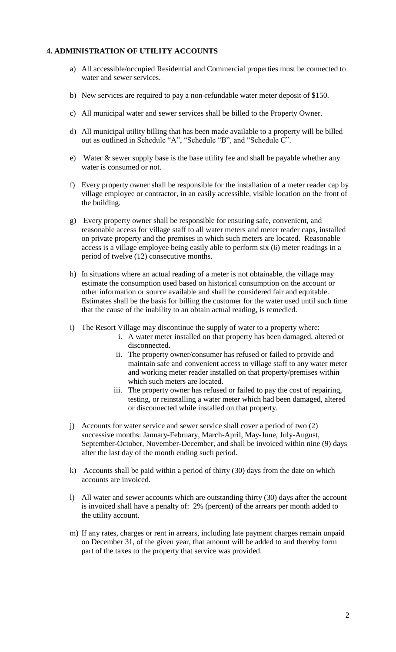# **4. ADMINISTRATION OF UTILITY ACCOUNTS**

- a) All accessible/occupied Residential and Commercial properties must be connected to water and sewer services.
- b) New services are required to pay a non-refundable water meter deposit of \$150.
- c) All municipal water and sewer services shall be billed to the Property Owner.
- d) All municipal utility billing that has been made available to a property will be billed out as outlined in Schedule "A", "Schedule "B", and "Schedule C".
- e) Water & sewer supply base is the base utility fee and shall be payable whether any water is consumed or not.
- f) Every property owner shall be responsible for the installation of a meter reader cap by village employee or contractor, in an easily accessible, visible location on the front of the building.
- g) Every property owner shall be responsible for ensuring safe, convenient, and reasonable access for village staff to all water meters and meter reader caps, installed on private property and the premises in which such meters are located. Reasonable access is a village employee being easily able to perform six (6) meter readings in a period of twelve (12) consecutive months.
- h) In situations where an actual reading of a meter is not obtainable, the village may estimate the consumption used based on historical consumption on the account or other information or source available and shall be considered fair and equitable. Estimates shall be the basis for billing the customer for the water used until such time that the cause of the inability to an obtain actual reading, is remedied.
- i) The Resort Village may discontinue the supply of water to a property where:
	- i. A water meter installed on that property has been damaged, altered or disconnected.
	- ii. The property owner/consumer has refused or failed to provide and maintain safe and convenient access to village staff to any water meter and working meter reader installed on that property/premises within which such meters are located.
	- iii. The property owner has refused or failed to pay the cost of repairing, testing, or reinstalling a water meter which had been damaged, altered or disconnected while installed on that property.
- j) Accounts for water service and sewer service shall cover a period of two (2) successive months: January-February, March-April, May-June, July-August, September-October, November-December, and shall be invoiced within nine (9) days after the last day of the month ending such period.
- k) Accounts shall be paid within a period of thirty (30) days from the date on which accounts are invoiced.
- l) All water and sewer accounts which are outstanding thirty (30) days after the account is invoiced shall have a penalty of: 2% (percent) of the arrears per month added to the utility account.
- m) If any rates, charges or rent in arrears, including late payment charges remain unpaid on December 31, of the given year, that amount will be added to and thereby form part of the taxes to the property that service was provided.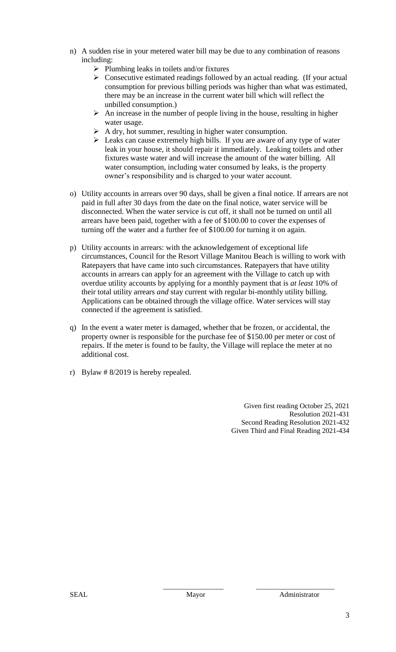- n) A sudden rise in your metered water bill may be due to any combination of reasons including:
	- $\triangleright$  Plumbing leaks in toilets and/or fixtures
	- $\triangleright$  Consecutive estimated readings followed by an actual reading. (If your actual consumption for previous billing periods was higher than what was estimated, there may be an increase in the current water bill which will reflect the unbilled consumption.)
	- $\triangleright$  An increase in the number of people living in the house, resulting in higher water usage.
	- $\triangleright$  A dry, hot summer, resulting in higher water consumption.
	- $\triangleright$  Leaks can cause extremely high bills. If you are aware of any type of water leak in your house, it should repair it immediately. Leaking toilets and other fixtures waste water and will increase the amount of the water billing. All water consumption, including water consumed by leaks, is the property owner's responsibility and is charged to your water account.
- o) Utility accounts in arrears over 90 days, shall be given a final notice. If arrears are not paid in full after 30 days from the date on the final notice, water service will be disconnected. When the water service is cut off, it shall not be turned on until all arrears have been paid, together with a fee of \$100.00 to cover the expenses of turning off the water and a further fee of \$100.00 for turning it on again.
- p) Utility accounts in arrears: with the acknowledgement of exceptional life circumstances, Council for the Resort Village Manitou Beach is willing to work with Ratepayers that have came into such circumstances. Ratepayers that have utility accounts in arrears can apply for an agreement with the Village to catch up with overdue utility accounts by applying for a monthly payment that is *at least* 10% of their total utility arrears *and* stay current with regular bi-monthly utility billing. Applications can be obtained through the village office. Water services will stay connected if the agreement is satisfied.
- q) In the event a water meter is damaged, whether that be frozen, or accidental, the property owner is responsible for the purchase fee of \$150.00 per meter or cost of repairs. If the meter is found to be faulty, the Village will replace the meter at no additional cost.
- r) Bylaw # 8/2019 is hereby repealed.

Given first reading October 25, 2021 Resolution 2021-431 Second Reading Resolution 2021-432 Given Third and Final Reading 2021-434

\_\_\_\_\_\_\_\_\_\_\_\_\_\_\_\_\_ \_\_\_\_\_\_\_\_\_\_\_\_\_\_\_\_\_\_\_\_\_\_